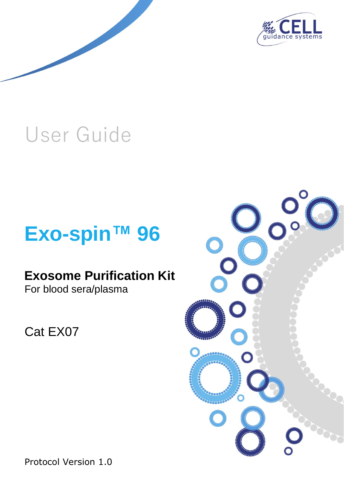

# User Guide

# **Exo-spin™ 96**

# **Exosome Purification Kit**

For blood sera/plasma

Cat EX07



Protocol Version 1.0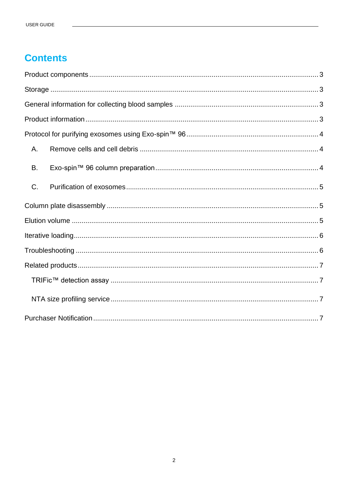# **Contents**

| А. |  |  |
|----|--|--|
| B. |  |  |
| C. |  |  |
|    |  |  |
|    |  |  |
|    |  |  |
|    |  |  |
|    |  |  |
|    |  |  |
|    |  |  |
|    |  |  |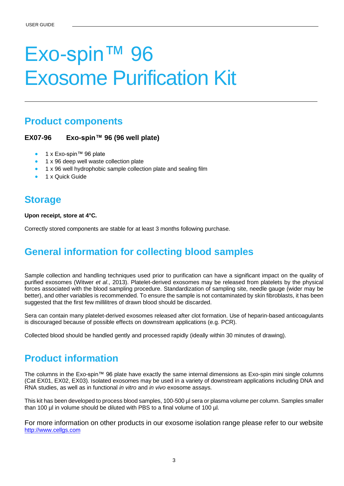# Exo-spin™ 96 Exosome Purification Kit

## <span id="page-2-0"></span>**Product components**

#### **EX07-96 Exo-spin™ 96 (96 well plate)**

- 1 x Exo-spin™ 96 plate
- 1 x 96 deep well waste collection plate
- 1 x 96 well hydrophobic sample collection plate and sealing film
- <span id="page-2-1"></span>1 x Quick Guide

## **Storage**

**Upon receipt, store at 4°C.** 

<span id="page-2-2"></span>Correctly stored components are stable for at least 3 months following purchase.

## **General information for collecting blood samples**

Sample collection and handling techniques used prior to purification can have a significant impact on the quality of purified exosomes (Witwer *et al*., 2013). Platelet-derived exosomes may be released from platelets by the physical forces associated with the blood sampling procedure. Standardization of sampling site, needle gauge (wider may be better), and other variables is recommended. To ensure the sample is not contaminated by skin fibroblasts, it has been suggested that the first few millilitres of drawn blood should be discarded.

Sera can contain many platelet-derived exosomes released after clot formation. Use of heparin-based anticoagulants is discouraged because of possible effects on downstream applications (e.g. PCR).

<span id="page-2-3"></span>Collected blood should be handled gently and processed rapidly (ideally within 30 minutes of drawing).

## **Product information**

The columns in the Exo-spin™ 96 plate have exactly the same internal dimensions as Exo-spin mini single columns (Cat EX01, EX02, EX03). Isolated exosomes may be used in a variety of downstream applications including DNA and RNA studies, as well as in functional *in vitro* and *in vivo* exosome assays.

This kit has been developed to process blood samples, 100-500 µl sera or plasma volume per column. Samples smaller than 100 µl in volume should be diluted with PBS to a final volume of 100 µl.

For more information on other products in our exosome isolation range please refer to our website [http://www.cellgs.com](http://www.cellgs.com/)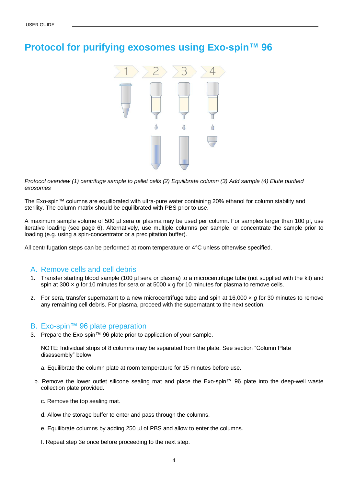## <span id="page-3-0"></span>**Protocol for purifying exosomes using Exo-spin™ 96**



*Protocol overview (1) centrifuge sample to pellet cells (2) Equilibrate column (3) Add sample (4) Elute purified exosomes* 

The Exo-spin™ columns are equilibrated with ultra-pure water containing 20% ethanol for column stability and sterility. The column matrix should be equilibrated with PBS prior to use.

A maximum sample volume of 500 µl sera or plasma may be used per column. For samples larger than 100 µl, use iterative loading (see page 6). Alternatively, use multiple columns per sample, or concentrate the sample prior to loading (e.g. using a spin-concentrator or a precipitation buffer).

All centrifugation steps can be performed at room temperature or 4°C unless otherwise specified.

### <span id="page-3-1"></span>A. Remove cells and cell debris

- 1. Transfer starting blood sample (100 µl sera or plasma) to a microcentrifuge tube (not supplied with the kit) and spin at 300 x *g* for 10 minutes for sera or at 5000 x g for 10 minutes for plasma to remove cells.
- 2. For sera, transfer supernatant to a new microcentrifuge tube and spin at 16,000 × *g* for 30 minutes to remove any remaining cell debris. For plasma, proceed with the supernatant to the next section.

#### <span id="page-3-2"></span>B. Exo-spin™ 96 plate preparation

3. Prepare the Exo-spin™ 96 plate prior to application of your sample.

NOTE: Individual strips of 8 columns may be separated from the plate. See section "Column Plate disassembly" below.

- a. Equilibrate the column plate at room temperature for 15 minutes before use.
- b. Remove the lower outlet silicone sealing mat and place the Exo-spin™ 96 plate into the deep-well waste collection plate provided.
	- c. Remove the top sealing mat.
	- d. Allow the storage buffer to enter and pass through the columns.
	- e. Equilibrate columns by adding 250 µl of PBS and allow to enter the columns.
	- f. Repeat step 3e once before proceeding to the next step.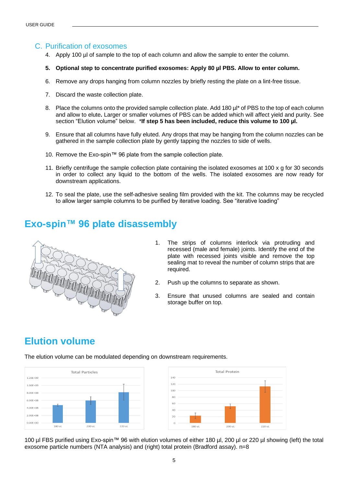### <span id="page-4-0"></span>C. Purification of exosomes

- 4. Apply 100 µl of sample to the top of each column and allow the sample to enter the column.
- **5. Optional step to concentrate purified exosomes: Apply 80 µl PBS. Allow to enter column.**
- 6. Remove any drops hanging from column nozzles by briefly resting the plate on a lint-free tissue.
- 7. Discard the waste collection plate.
- 8. Place the columns onto the provided sample collection plate. Add 180 µ<sup>\*</sup> of PBS to the top of each column and allow to elute**.** Larger or smaller volumes of PBS can be added which will affect yield and purity. See section "Elution volume" below. \***If step 5 has been included, reduce this volume to 100 µl.**
- 9. Ensure that all columns have fully eluted. Any drops that may be hanging from the column nozzles can be gathered in the sample collection plate by gently tapping the nozzles to side of wells.
- 10. Remove the Exo-spin™ 96 plate from the sample collection plate.
- 11. Briefly centrifuge the sample collection plate containing the isolated exosomes at 100 x g for 30 seconds in order to collect any liquid to the bottom of the wells. The isolated exosomes are now ready for downstream applications.
- 12. To seal the plate, use the self-adhesive sealing film provided with the kit. The columns may be recycled to allow larger sample columns to be purified by iterative loading. See "iterative loading"

## <span id="page-4-1"></span>**Exo-spin™ 96 plate disassembly**



- 1. The strips of columns interlock via protruding and recessed (male and female) joints. Identify the end of the plate with recessed joints visible and remove the top sealing mat to reveal the number of column strips that are required.
- 2. Push up the columns to separate as shown.
- 3. Ensure that unused columns are sealed and contain storage buffer on top.

## <span id="page-4-2"></span>**Elution volume**

The elution volume can be modulated depending on downstream requirements.





100 µl FBS purified using Exo-spin™ 96 with elution volumes of either 180 µl, 200 µl or 220 µl showing (left) the total exosome particle numbers (NTA analysis) and (right) total protein (Bradford assay). n=8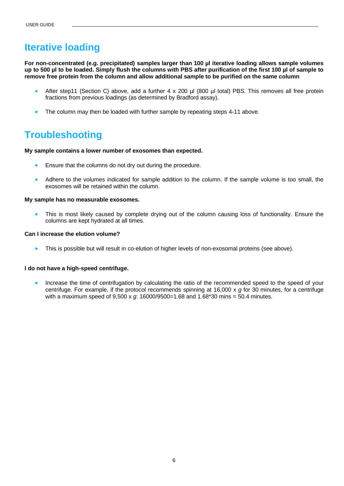## <span id="page-5-0"></span>**Iterative loading**

**For non-concentrated (e.g. precipitated) samples larger than 100 µl iterative loading allows sample volumes up to 500 µl to be loaded. Simply flush the columns with PBS after purification of the first 100 µl of sample to remove free protein from the column and allow additional sample to be purified on the same column**

- After step11 (Section C) above, add a further 4 x 200 ul (800 ul total) PBS. This removes all free protein fractions from previous loadings (as determined by Bradford assay).
- The column may then be loaded with further sample by repeating steps 4-11 above.

## **Troubleshooting**

**My sample contains a lower number of exosomes than expected.**

- Ensure that the columns do not dry out during the procedure.
- Adhere to the volumes indicated for sample addition to the column. If the sample volume is too small, the exosomes will be retained within the column.

#### **My sample has no measurable exosomes.**

This is most likely caused by complete drying out of the column causing loss of functionality. Ensure the columns are kept hydrated at all times.

#### **Can I increase the elution volume?**

• This is possible but will result in co-elution of higher levels of non-exosomal proteins (see above).

#### **I do not have a high-speed centrifuge.**

• Increase the time of centrifugation by calculating the ratio of the recommended speed to the speed of your centrifuge. For example, if the protocol recommends spinning at 16,000 x *g* for 30 minutes, for a centrifuge with a maximum speed of 9,500 x *g*: 16000/9500=1.68 and 1.68\*30 mins = 50.4 minutes.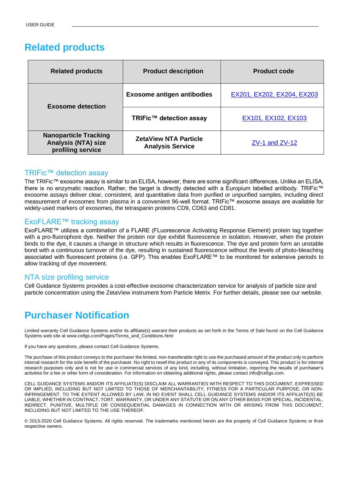## <span id="page-6-0"></span>**Related products**

| <b>Related products</b>                                                         | <b>Product description</b>                              | <b>Product code</b>        |
|---------------------------------------------------------------------------------|---------------------------------------------------------|----------------------------|
| <b>Exosome detection</b>                                                        | <b>Exosome antigen antibodies</b>                       | EX201, EX202, EX204, EX203 |
|                                                                                 | TRIFic™ detection assay                                 | EX101, EX102, EX103        |
| <b>Nanoparticle Tracking</b><br><b>Analysis (NTA) size</b><br>profiling service | <b>ZetaView NTA Particle</b><br><b>Analysis Service</b> | $ZV-1$ and $ZV-12$         |

#### <span id="page-6-1"></span>TRIFic™ detection assay

The TRIFic™ exosome assay is similar to an ELISA, however, there are some significant differences. Unlike an ELISA, there is no enzymatic reaction. Rather, the target is directly detected with a Europium labelled antibody. TRIFic™ exosome assays deliver clear, consistent, and quantitative data from purified or unpurified samples, including direct measurement of exosomes from plasma in a convenient 96-well format. TRIFic™ exosome assays are available for widely-used markers of exosomes, the tetraspanin proteins CD9, CD63 and CD81.

#### ExoFLARE™ tracking assay

ExoFLARE™ utilizes a combination of a FLARE (FLuorescence Activating Response Element) protein tag together with a pro-fluorophore dye. Neither the protein nor dye exhibit fluorescence in isolation. However, when the protein binds to the dye, it causes a change in structure which results in fluorescence. The dye and protein form an unstable bond with a continuous turnover of the dye, resulting in sustained fluorescence without the levels of photo-bleaching associated with fluorescent proteins (i.e. GFP). This enables ExoFLARE™ to be monitored for extensive periods to allow tracking of dye movement.

#### <span id="page-6-2"></span>NTA size profiling service

<span id="page-6-3"></span>Cell Guidance Systems provides a cost-effective exosome characterization service for analysis of particle size and particle concentration using the ZetaView instrument from Particle Metrix. For further details, please see our website.

## **Purchaser Notification**

Limited warranty Cell Guidance Systems and/or its affiliate(s) warrant their products as set forth in the Terms of Sale found on the Cell Guidance Systems web site at www.cellgs.com/Pages/Terms\_and\_Conditions.html

If you have any questions, please contact Cell Guidance Systems.

The purchase of this product conveys to the purchaser the limited, non-transferable right to use the purchased amount of the product only to perform internal research for the sole benefit of the purchaser. No right to resell this product or any of its components is conveyed. This product is for internal research purposes only and is not for use in commercial services of any kind, including, without limitation, reporting the results of purchaser's activities for a fee or other form of consideration. For information on obtaining additional rights, please contact info@cellgs.com.

CELL GUIDANCE SYSTEMS AND/OR ITS AFFILIATE(S) DISCLAIM ALL WARRANTIES WITH RESPECT TO THIS DOCUMENT, EXPRESSED OR IMPLIED, INCLUDING BUT NOT LIMITED TO THOSE OF MERCHANTABILITY, FITNESS FOR A PARTICULAR PURPOSE, OR NON-INFRINGEMENT. TO THE EXTENT ALLOWED BY LAW, IN NO EVENT SHALL CELL GUIDANCE SYSTEMS AND/OR ITS AFFILIATE(S) BE LIABLE, WHETHER IN CONTRACT, TORT, WARRANTY, OR UNDER ANY STATUTE OR ON ANY OTHER BASIS FOR SPECIAL, INCIDENTAL, INDIRECT, PUNITIVE, MULTIPLE OR CONSEQUENTIAL DAMAGES IN CONNECTION WITH OR ARISING FROM THIS DOCUMENT, INCLUDING BUT NOT LIMITED TO THE USE THEREOF.

© 2013-2020 Cell Guidance Systems. All rights reserved. The trademarks mentioned herein are the property of Cell Guidance Systems or their respective owners.